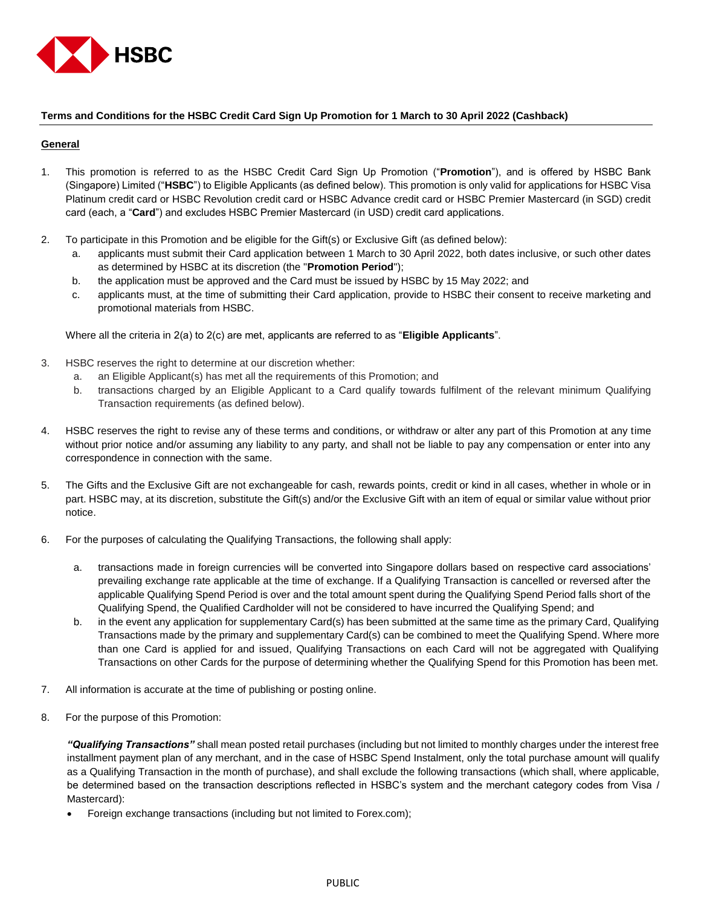

### **Terms and Conditions for the HSBC Credit Card Sign Up Promotion for 1 March to 30 April 2022 (Cashback)**

### **General**

- 1. This promotion is referred to as the HSBC Credit Card Sign Up Promotion ("**Promotion**"), and is offered by HSBC Bank (Singapore) Limited ("**HSBC**") to Eligible Applicants (as defined below). This promotion is only valid for applications for HSBC Visa Platinum credit card or HSBC Revolution credit card or HSBC Advance credit card or HSBC Premier Mastercard (in SGD) credit card (each, a "**Card**") and excludes HSBC Premier Mastercard (in USD) credit card applications.
- 2. To participate in this Promotion and be eligible for the Gift(s) or Exclusive Gift (as defined below):
	- a. applicants must submit their Card application between 1 March to 30 April 2022, both dates inclusive, or such other dates as determined by HSBC at its discretion (the "**Promotion Period**");
	- b. the application must be approved and the Card must be issued by HSBC by 15 May 2022; and
	- c. applicants must, at the time of submitting their Card application, provide to HSBC their consent to receive marketing and promotional materials from HSBC.

Where all the criteria in 2(a) to 2(c) are met, applicants are referred to as "**Eligible Applicants**".

- 3. HSBC reserves the right to determine at our discretion whether:
	- a. an Eligible Applicant(s) has met all the requirements of this Promotion; and
	- b. transactions charged by an Eligible Applicant to a Card qualify towards fulfilment of the relevant minimum Qualifying Transaction requirements (as defined below).
- 4. HSBC reserves the right to revise any of these terms and conditions, or withdraw or alter any part of this Promotion at any time without prior notice and/or assuming any liability to any party, and shall not be liable to pay any compensation or enter into any correspondence in connection with the same.
- 5. The Gifts and the Exclusive Gift are not exchangeable for cash, rewards points, credit or kind in all cases, whether in whole or in part. HSBC may, at its discretion, substitute the Gift(s) and/or the Exclusive Gift with an item of equal or similar value without prior notice.
- 6. For the purposes of calculating the Qualifying Transactions, the following shall apply:
	- a. transactions made in foreign currencies will be converted into Singapore dollars based on respective card associations' prevailing exchange rate applicable at the time of exchange. If a Qualifying Transaction is cancelled or reversed after the applicable Qualifying Spend Period is over and the total amount spent during the Qualifying Spend Period falls short of the Qualifying Spend, the Qualified Cardholder will not be considered to have incurred the Qualifying Spend; and
	- b. in the event any application for supplementary Card(s) has been submitted at the same time as the primary Card, Qualifying Transactions made by the primary and supplementary Card(s) can be combined to meet the Qualifying Spend. Where more than one Card is applied for and issued, Qualifying Transactions on each Card will not be aggregated with Qualifying Transactions on other Cards for the purpose of determining whether the Qualifying Spend for this Promotion has been met.
- 7. All information is accurate at the time of publishing or posting online.
- 8. For the purpose of this Promotion:

*"Qualifying Transactions"* shall mean posted retail purchases (including but not limited to monthly charges under the interest free installment payment plan of any merchant, and in the case of HSBC Spend Instalment, only the total purchase amount will qualify as a Qualifying Transaction in the month of purchase), and shall exclude the following transactions (which shall, where applicable, be determined based on the transaction descriptions reflected in HSBC's system and the merchant category codes from Visa / Mastercard):

Foreign exchange transactions (including but not limited to Forex.com);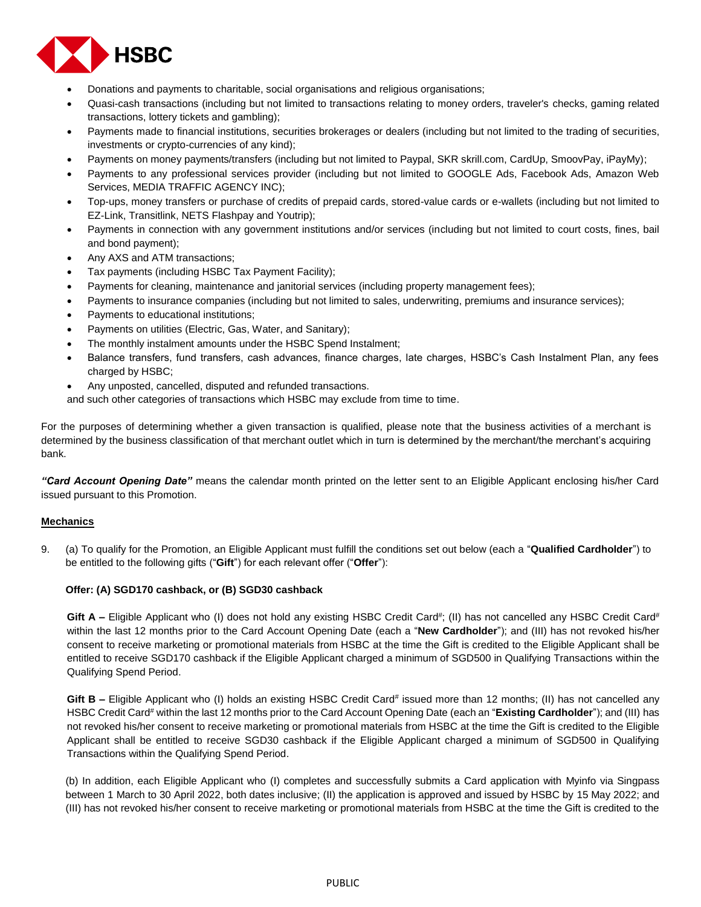

- Donations and payments to charitable, social organisations and religious organisations;
- Quasi-cash transactions (including but not limited to transactions relating to money orders, traveler's checks, gaming related transactions, lottery tickets and gambling);
- Payments made to financial institutions, securities brokerages or dealers (including but not limited to the trading of securities, investments or crypto-currencies of any kind);
- Payments on money payments/transfers (including but not limited to Paypal, SKR skrill.com, CardUp, SmoovPay, iPayMy);
- Payments to any professional services provider (including but not limited to GOOGLE Ads, Facebook Ads, Amazon Web Services, MEDIA TRAFFIC AGENCY INC);
- Top-ups, money transfers or purchase of credits of prepaid cards, stored-value cards or e-wallets (including but not limited to EZ-Link, Transitlink, NETS Flashpay and Youtrip);
- Payments in connection with any government institutions and/or services (including but not limited to court costs, fines, bail and bond payment);
- Any AXS and ATM transactions;
- Tax payments (including HSBC Tax Payment Facility);
- Payments for cleaning, maintenance and janitorial services (including property management fees);
- Payments to insurance companies (including but not limited to sales, underwriting, premiums and insurance services);
- Payments to educational institutions;
- Payments on utilities (Electric, Gas, Water, and Sanitary);
- The monthly instalment amounts under the HSBC Spend Instalment;
- Balance transfers, fund transfers, cash advances, finance charges, late charges, HSBC's Cash Instalment Plan, any fees charged by HSBC;
- Any unposted, cancelled, disputed and refunded transactions.

and such other categories of transactions which HSBC may exclude from time to time.

For the purposes of determining whether a given transaction is qualified, please note that the business activities of a merchant is determined by the business classification of that merchant outlet which in turn is determined by the merchant/the merchant's acquiring bank.

*"Card Account Opening Date"* means the calendar month printed on the letter sent to an Eligible Applicant enclosing his/her Card issued pursuant to this Promotion.

## **Mechanics**

9. (a) To qualify for the Promotion, an Eligible Applicant must fulfill the conditions set out below (each a "**Qualified Cardholder**") to be entitled to the following gifts ("**Gift**") for each relevant offer ("**Offer**"):

### **Offer: (A) SGD170 cashback, or (B) SGD30 cashback**

Gift A – Eligible Applicant who (I) does not hold any existing HSBC Credit Card<sup>#</sup>; (II) has not cancelled any HSBC Credit Card<sup>#</sup> within the last 12 months prior to the Card Account Opening Date (each a "**New Cardholder**"); and (III) has not revoked his/her consent to receive marketing or promotional materials from HSBC at the time the Gift is credited to the Eligible Applicant shall be entitled to receive SGD170 cashback if the Eligible Applicant charged a minimum of SGD500 in Qualifying Transactions within the Qualifying Spend Period.

Gift B – Eligible Applicant who (I) holds an existing HSBC Credit Card<sup>#</sup> issued more than 12 months; (II) has not cancelled any HSBC Credit Card<sup>#</sup> within the last 12 months prior to the Card Account Opening Date (each an "Existing Cardholder"); and (III) has not revoked his/her consent to receive marketing or promotional materials from HSBC at the time the Gift is credited to the Eligible Applicant shall be entitled to receive SGD30 cashback if the Eligible Applicant charged a minimum of SGD500 in Qualifying Transactions within the Qualifying Spend Period.

(b) In addition, each Eligible Applicant who (I) completes and successfully submits a Card application with Myinfo via Singpass between 1 March to 30 April 2022, both dates inclusive; (II) the application is approved and issued by HSBC by 15 May 2022; and (III) has not revoked his/her consent to receive marketing or promotional materials from HSBC at the time the Gift is credited to the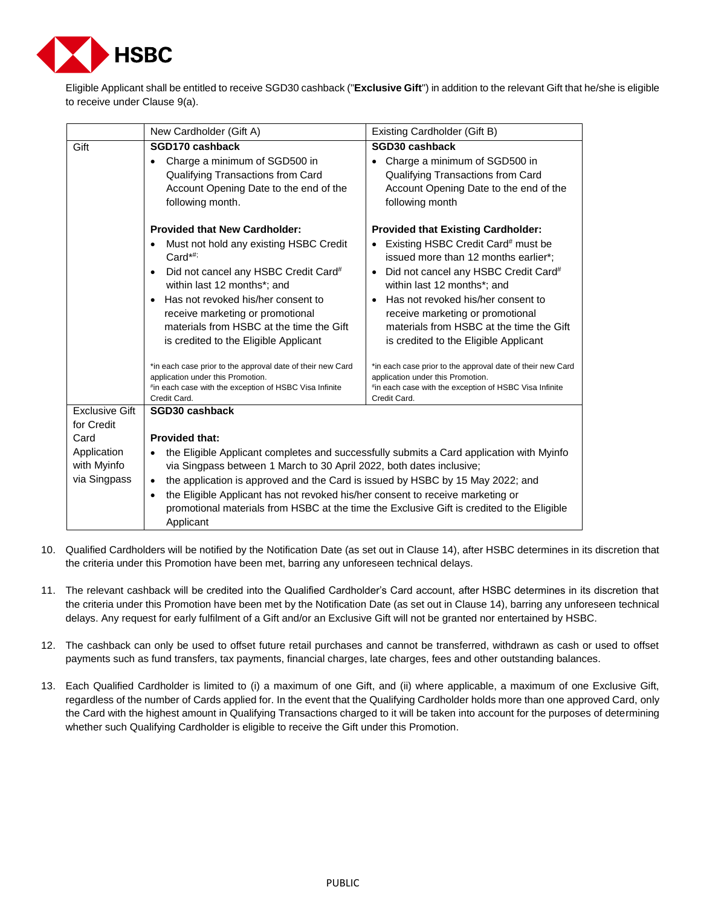

Eligible Applicant shall be entitled to receive SGD30 cashback ("**Exclusive Gift**") in addition to the relevant Gift that he/she is eligible to receive under Clause 9(a).

|                       | New Cardholder (Gift A)                                                                                                                                                                                                                                                                                                                                                                                                                                                                 | Existing Cardholder (Gift B)                                                                                                                                                                                                                                                                                                                                                                                                                                                                           |  |  |
|-----------------------|-----------------------------------------------------------------------------------------------------------------------------------------------------------------------------------------------------------------------------------------------------------------------------------------------------------------------------------------------------------------------------------------------------------------------------------------------------------------------------------------|--------------------------------------------------------------------------------------------------------------------------------------------------------------------------------------------------------------------------------------------------------------------------------------------------------------------------------------------------------------------------------------------------------------------------------------------------------------------------------------------------------|--|--|
| Gift                  | SGD170 cashback                                                                                                                                                                                                                                                                                                                                                                                                                                                                         | SGD30 cashback                                                                                                                                                                                                                                                                                                                                                                                                                                                                                         |  |  |
|                       | Charge a minimum of SGD500 in<br>Qualifying Transactions from Card<br>Account Opening Date to the end of the<br>following month.                                                                                                                                                                                                                                                                                                                                                        | Charge a minimum of SGD500 in<br>Qualifying Transactions from Card<br>Account Opening Date to the end of the<br>following month                                                                                                                                                                                                                                                                                                                                                                        |  |  |
|                       | <b>Provided that New Cardholder:</b>                                                                                                                                                                                                                                                                                                                                                                                                                                                    | <b>Provided that Existing Cardholder:</b>                                                                                                                                                                                                                                                                                                                                                                                                                                                              |  |  |
|                       | Must not hold any existing HSBC Credit<br>$Card^{\star\#}$<br>Did not cancel any HSBC Credit Card#<br>$\bullet$<br>within last 12 months*; and<br>Has not revoked his/her consent to<br>$\bullet$<br>receive marketing or promotional<br>materials from HSBC at the time the Gift<br>is credited to the Eligible Applicant<br>*in each case prior to the approval date of their new Card<br>application under this Promotion.<br>#in each case with the exception of HSBC Visa Infinite | Existing HSBC Credit Card <sup>#</sup> must be<br>issued more than 12 months earlier*;<br>Did not cancel any HSBC Credit Card#<br>within last 12 months*; and<br>Has not revoked his/her consent to<br>$\bullet$<br>receive marketing or promotional<br>materials from HSBC at the time the Gift<br>is credited to the Eligible Applicant<br>*in each case prior to the approval date of their new Card<br>application under this Promotion.<br>#in each case with the exception of HSBC Visa Infinite |  |  |
| <b>Exclusive Gift</b> | Credit Card.<br>SGD30 cashback                                                                                                                                                                                                                                                                                                                                                                                                                                                          | Credit Card.                                                                                                                                                                                                                                                                                                                                                                                                                                                                                           |  |  |
| for Credit            |                                                                                                                                                                                                                                                                                                                                                                                                                                                                                         |                                                                                                                                                                                                                                                                                                                                                                                                                                                                                                        |  |  |
| Card                  | <b>Provided that:</b>                                                                                                                                                                                                                                                                                                                                                                                                                                                                   |                                                                                                                                                                                                                                                                                                                                                                                                                                                                                                        |  |  |
| Application           | the Eligible Applicant completes and successfully submits a Card application with Myinfo                                                                                                                                                                                                                                                                                                                                                                                                |                                                                                                                                                                                                                                                                                                                                                                                                                                                                                                        |  |  |
| with Myinfo           | via Singpass between 1 March to 30 April 2022, both dates inclusive;                                                                                                                                                                                                                                                                                                                                                                                                                    |                                                                                                                                                                                                                                                                                                                                                                                                                                                                                                        |  |  |
| via Singpass          | the application is approved and the Card is issued by HSBC by 15 May 2022; and<br>$\bullet$                                                                                                                                                                                                                                                                                                                                                                                             |                                                                                                                                                                                                                                                                                                                                                                                                                                                                                                        |  |  |
|                       | the Eligible Applicant has not revoked his/her consent to receive marketing or<br>$\bullet$<br>promotional materials from HSBC at the time the Exclusive Gift is credited to the Eligible<br>Applicant                                                                                                                                                                                                                                                                                  |                                                                                                                                                                                                                                                                                                                                                                                                                                                                                                        |  |  |

- 10. Qualified Cardholders will be notified by the Notification Date (as set out in Clause 14), after HSBC determines in its discretion that the criteria under this Promotion have been met, barring any unforeseen technical delays.
- 11. The relevant cashback will be credited into the Qualified Cardholder's Card account, after HSBC determines in its discretion that the criteria under this Promotion have been met by the Notification Date (as set out in Clause 14), barring any unforeseen technical delays. Any request for early fulfilment of a Gift and/or an Exclusive Gift will not be granted nor entertained by HSBC.
- 12. The cashback can only be used to offset future retail purchases and cannot be transferred, withdrawn as cash or used to offset payments such as fund transfers, tax payments, financial charges, late charges, fees and other outstanding balances.
- 13. Each Qualified Cardholder is limited to (i) a maximum of one Gift, and (ii) where applicable, a maximum of one Exclusive Gift, regardless of the number of Cards applied for. In the event that the Qualifying Cardholder holds more than one approved Card, only the Card with the highest amount in Qualifying Transactions charged to it will be taken into account for the purposes of determining whether such Qualifying Cardholder is eligible to receive the Gift under this Promotion.